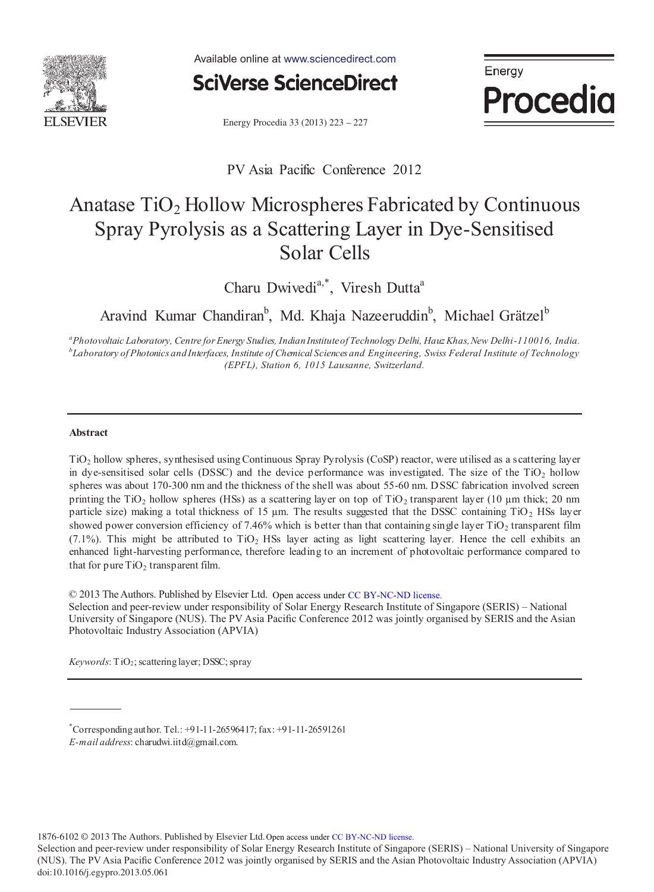

Available online at www.sciencedirect.com



Energy **Procedia** 

Energy Procedia 33 (2013) 223 - 227

PV Asia Pacific Conference 2012

# Anatase TiO<sub>2</sub> Hollow Microspheres Fabricated by Continuous Spray Pyrolysis as a Scattering Layer in Dye-Sensitised Solar Cells

Charu Dwivedi<sup>a,\*</sup>, Viresh Dutta<sup>a</sup>

Aravind Kumar Chandiran<sup>b</sup>, Md. Khaja Nazeeruddin<sup>b</sup>, Michael Grätzel<sup>b</sup>

*<sup>a</sup>Photovoltaic Laboratory, Centre for Energy Studies, Indian Institute of Technology Delhi, Hauz Khas, New Delhi-110016, India. b Laboratory of Photonics and Interfaces, Institute of Chemical Sciences and Engineering, Swiss Federal Institute of Technology (EPFL), Station 6, 1015 Lausanne, Switzerland.* 

## **Abstract**

TiO2 hollow spheres, synthesised using Continuous Spray Pyrolysis (CoSP) reactor, were utilised as a scattering layer in dye-sensitised solar cells (DSSC) and the device performance was investigated. The size of the  $TiO<sub>2</sub>$  hollow spheres was about 170-300 nm and the thickness of the shell was about 55-60 nm. DSSC fabrication involved screen printing the TiO<sub>2</sub> hollow spheres (HSs) as a scattering layer on top of TiO<sub>2</sub> transparent layer (10 µm thick; 20 nm particle size) making a total thickness of 15  $\mu$ m. The results suggested that the DSSC containing TiO<sub>2</sub> HSs layer showed power conversion efficiency of 7.46% which is better than that containing single layer TiO<sub>2</sub> transparent film (7.1%). This might be attributed to TiO<sub>2</sub> HSs layer acting as light scattering layer. Hence the cell exhibits an enhanced light-harvesting performance, therefore leading to an increment of photovoltaic performance compared to that for pure  $TiO<sub>2</sub>$  transparent film.

© 2013 The Authors. Published by Elsevier Ltd. Open access under CC BY-NC-ND license.

Selection and peer-review under responsibility of Solar Energy Research Institute of Singapore (SERIS) – National University of Singapore (NUS). The PV Asia Pacific Conference 2012 was jointly organised by SERIS and the Asian (APVIA). Photovoltaic Industry Association (APVIA)

*Keywords*: TiO2; scattering layer; DSSC; spray

 $^*$ Corresponding author. Tel.: +91-11-26596417; fax: +91-11-26591261 *E-mail address*: charudwi.iitd@gmail.com.

1876-6102 © 2013 The Authors. Published by Elsevier Ltd. Open access under CC BY-NC-ND license.

Selection and peer-review under responsibility of Solar Energy Research Institute of Singapore (SERIS) – National University of Singapore (NUS). The PV Asia Pacifi c Conference 2012 was jointly organised by SERIS and the Asian Photovoltaic Industry Association (APVIA) doi: 10.1016/j.egypro.2013.05.061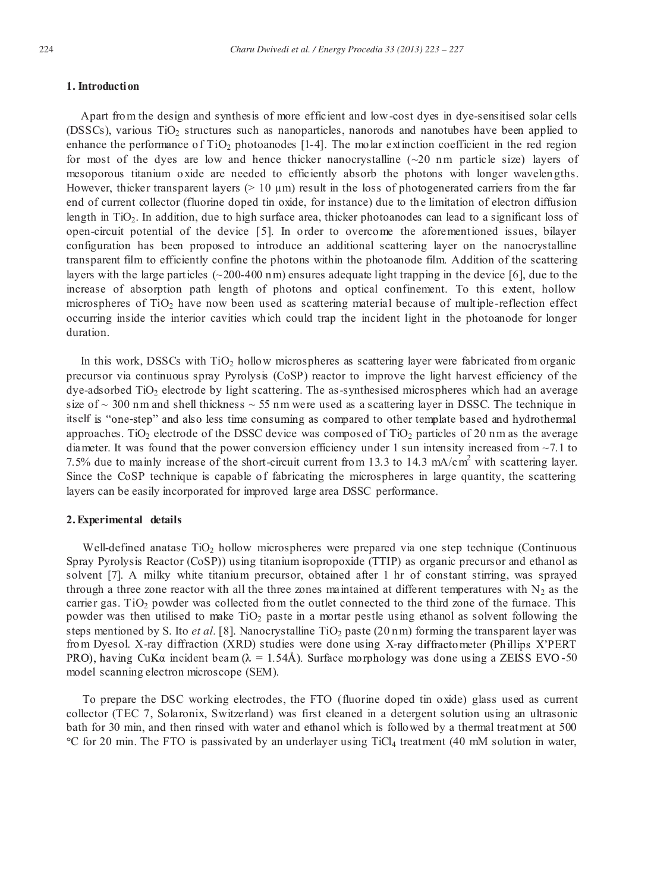# **1. Introduction**

Apart from the design and synthesis of more efficient and low-cost dyes in dye-sensitised solar cells (DSSCs), various  $TiO<sub>2</sub>$  structures such as nanoparticles, nanorods and nanotubes have been applied to enhance the performance of  $TiO<sub>2</sub>$  photoanodes [1-4]. The molar extinction coefficient in the red region for most of the dyes are low and hence thicker nanocrystalline  $(\sim 20 \text{ nm})$  particle size) layers of mesoporous titanium oxide are needed to efficiently absorb the photons with longer wavelen gths. However, thicker transparent layers  $(> 10 \mu m)$  result in the loss of photogenerated carriers from the far end of current collector (fluorine doped tin oxide, for instance) due to th e limitation of electron diffusion length in  $TiO<sub>2</sub>$ . In addition, due to high surface area, thicker photoanodes can lead to a significant loss of open-circuit potential of the device [5]. In order to overcome the aforementioned issues, bilayer configuration has been proposed to introduce an additional scattering layer on the nanocrystalline transparent film to efficiently confine the photons within the photoanode film. Addition of the scattering layers with the large particles  $(\sim 200-400 \text{ nm})$  ensures adequate light trapping in the device [6], due to the increase of absorption path length of photons and optical confinement. To this extent, hollow microspheres of  $TiO<sub>2</sub>$  have now been used as scattering material because of multiple-reflection effect occurring inside the interior cavities which could trap the incident light in the photoanode for longer duration.

In this work, DSSCs with  $TiO<sub>2</sub>$  hollow microspheres as scattering layer were fabricated from organic precursor via continuous spray Pyrolysis (CoSP) reactor to improve the light harvest efficiency of the dye-adsorbed TiO2 electrode by light scattering. The as-synthesised microspheres which had an average size of  $\sim$  300 nm and shell thickness  $\sim$  55 nm were used as a scattering layer in DSSC. The technique in itself is "one-step" and also less time consuming as compared to other template based and hydrothermal approaches. TiO<sub>2</sub> electrode of the DSSC device was composed of TiO<sub>2</sub> particles of 20 nm as the average diameter. It was found that the power conversion efficiency under 1 sun intensity increased from  $\sim$ 7.1 to 7.5% due to mainly increase of the short-circuit current from 13.3 to 14.3 mA/cm<sup>2</sup> with scattering layer. Since the CoSP technique is capable of fabricating the microspheres in large quantity, the scattering layers can be easily incorporated for improved large area DSSC performance.

### **2.Experimental details**

Well-defined anatase  $TiO<sub>2</sub>$  hollow microspheres were prepared via one step technique (Continuous Spray Pyrolysis Reactor (CoSP)) using titanium isopropoxide (TTIP) as organic precursor and ethanol as solvent [7]. A milky white titanium precursor, obtained after 1 hr of constant stirring, was sprayed through a three zone reactor with all the three zones maintained at different temperatures with  $N_2$  as the carrier gas. TiO<sub>2</sub> powder was collected from the outlet connected to the third zone of the furnace. This powder was then utilised to make  $TiO<sub>2</sub>$  paste in a mortar pestle using ethanol as solvent following the steps mentioned by S. Ito *et al.* [8]. Nanocrystalline TiO<sub>2</sub> paste (20 nm) forming the transparent layer was from Dyesol. X-ray diffraction (XRD) studies were done using X-ray diffractometer (Phillips X'PERT PRO), having CuK $\alpha$  incident beam ( $\lambda = 1.54\text{\AA}$ ). Surface morphology was done using a ZEISS EVO-50 model scanning electron microscope (SEM).

To prepare the DSC working electrodes, the FTO (fluorine doped tin oxide) glass used as current collector (TEC 7, Solaronix, Switzerland) was first cleaned in a detergent solution using an ultrasonic bath for 30 min, and then rinsed with water and ethanol which is followed by a thermal treatment at 500 C for 20 min. The FTO is passivated by an underlayer using TiCl4 treatment (40 mM solution in water,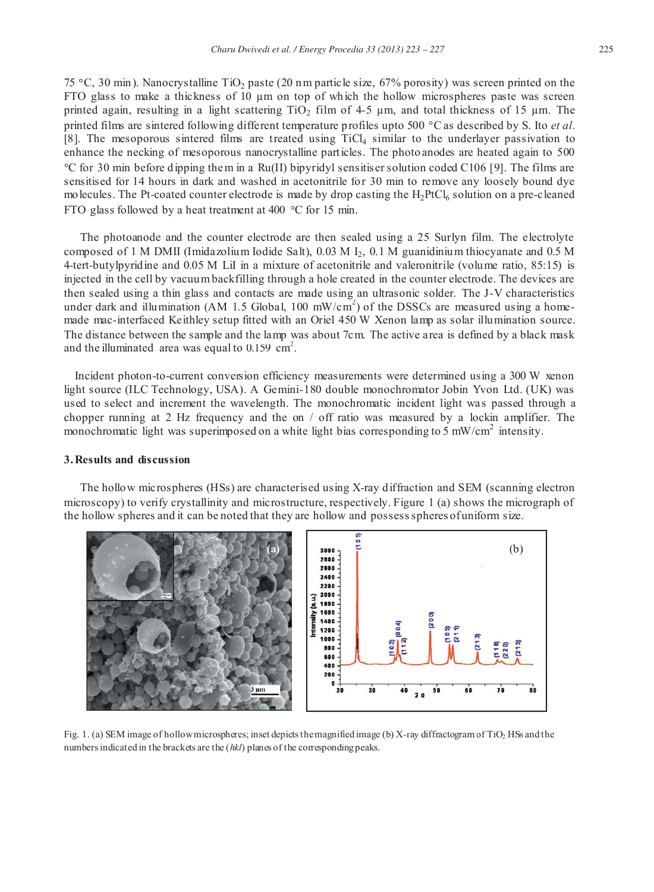75 °C, 30 min). Nanocrystalline TiO<sub>2</sub> paste (20 nm particle size, 67% porosity) was screen printed on the FTO glass to make a thickness of  $10 \mu m$  on top of which the hollow microspheres paste was screen printed again, resulting in a light scattering TiO<sub>2</sub> film of  $4-5 \mu$ m, and total thickness of 15  $\mu$ m. The printed films are sintered following different temperature profiles upto 500 °C as described by S. Ito *et al.* [8]. The mesoporous sintered films are treated using TiCl<sub>4</sub> similar to the underlayer passivation to

enhance the necking of mesoporous nanocrystalline particles. The photo anodes are heated again to 500  $\degree$ C for 30 min before dipping them in a Ru(II) bipyridyl sensitiser solution coded C106 [9]. The films are sensitised for 14 hours in dark and washed in acetonitrile for 30 min to remove any loosely bound dye molecules. The Pt-coated counter electrode is made by drop casting the  $H_2PtCl_6$  solution on a pre-cleaned FTO glass followed by a heat treatment at 400  $^{\circ}$ C for 15 min.

The photoanode and the counter electrode are then sealed using a 25 Surlyn film. The electrolyte composed of 1 M DMII (Imidazolium Iodide Salt),  $0.03$  M  $I_2$ ,  $0.1$  M guanidinium thiocyanate and 0.5 M 4-tert-butylpyridine and 0.05 M LiI in a mixture of acetonitrile and valeronitrile (volume ratio, 85:15) is injected in the cell by vacuum backfilling through a hole created in the counter electrode. The devices are then sealed using a thin glass and contacts are made using an ultrasonic solder. The J-V characteristics under dark and illumination (AM 1.5 Global, 100 mW/cm<sup>2</sup>) of the DSSCs are measured using a homemade mac-interfaced Keithley setup fitted with an Oriel 450 W Xenon lamp as solar illumination source. The distance between the sample and the lamp was about 7cm. The active area is defined by a black mask and the illuminated area was equal to  $0.159$  cm<sup>2</sup>.

Incident photon-to-current conversion efficiency measurements were determined using a 300 W xenon light source (ILC Technology, USA). A Gemini-180 double monochromator Jobin Yvon Ltd. (UK) was used to select and increment the wavelength. The monochromatic incident light was passed through a chopper running at 2 Hz frequency and the on / off ratio was measured by a lockin amplifier. The monochromatic light was superimposed on a white light bias corresponding to 5 mW/cm<sup>2</sup> intensity.

# **3.Results and discussion**

The hollow microspheres (HSs) are characterised using X-ray diffraction and SEM (scanning electron microscopy) to verify crystallinity and microstructure, respectively. Figure 1 (a) shows the micrograph of the hollow spheres and it can be noted that they are hollow and possessspheres of uniform size.



Fig. 1. (a) SEM image of hollow microspheres; inset depicts the magnified image (b) X-ray diffractogram of TiO<sub>2</sub> HSs and the numbers indicated in the brackets are the (*hkl*) planes of the corresponding peaks.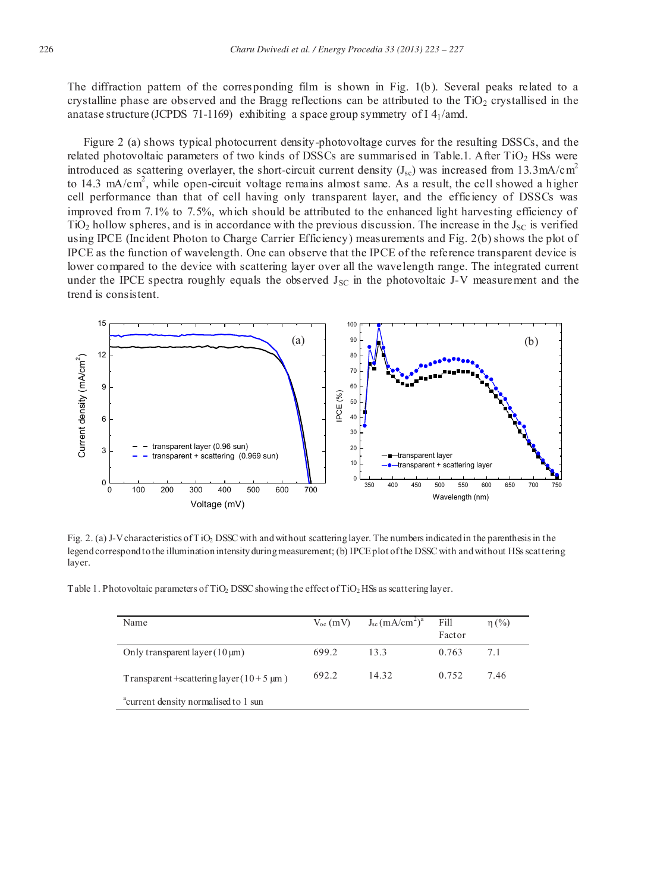The diffraction pattern of the corresponding film is shown in Fig. 1(b). Several peaks related to a crystalline phase are observed and the Bragg reflections can be attributed to the  $TiO<sub>2</sub>$  crystallised in the anatase structure (JCPDS 71-1169) exhibiting a space group symmetry of  $I$  4 $\mu$ amd.

Figure 2 (a) shows typical photocurrent density-photovoltage curves for the resulting DSSCs, and the related photovoltaic parameters of two kinds of DSSCs are summarised in Table.1. After  $TiO<sub>2</sub>$  HSs were introduced as scattering overlayer, the short-circuit current density  $(J_{sc})$  was increased from 13.3mA/cm<sup>2</sup> to 14.3 mA/cm<sup>2</sup>, while open-circuit voltage remains almost same. As a result, the cell showed a higher cell performance than that of cell having only transparent layer, and the efficiency of DSSCs was improved from 7.1% to 7.5%, which should be attributed to the enhanced light harvesting efficiency of  $TiO<sub>2</sub>$  hollow spheres, and is in accordance with the previous discussion. The increase in the  $J<sub>SC</sub>$  is verified using IPCE (Incident Photon to Charge Carrier Efficiency) measurements and Fig. 2(b) shows the plot of IPCE as the function of wavelength. One can observe that the IPCE of the reference transparent device is lower compared to the device with scattering layer over all the wavelength range. The integrated current under the IPCE spectra roughly equals the observed  $J_{SC}$  in the photovoltaic J-V measurement and the trend is consistent.



Fig. 2. (a) J-V characteristics of TiO<sub>2</sub> DSSC with and without scattering layer. The numbers indicated in the parenthesis in the legend correspond to the illumination intensity during measurement; (b) IPCE plot of the DSSC with and without HSs scattering layer.

Table 1. Photovoltaic parameters of TiO<sub>2</sub> DSSC showing the effect of TiO<sub>2</sub> HSs as scattering layer.

| Name                                             | $V_{oc}$ (mV) | $J_{sc}$ (mA/cm <sup>2</sup> ) <sup>a</sup> | Fill<br>Factor | $\eta$ (%) |
|--------------------------------------------------|---------------|---------------------------------------------|----------------|------------|
| Only transparent layer $(10 \,\mu m)$            | 699.2         | 13.3                                        | 0.763          | 7.1        |
| Transparent +scattering layer $(10+5 \mu m)$     | 692.2         | 14.32                                       | 0.752          | 7.46       |
| <sup>a</sup> current density normalised to 1 sun |               |                                             |                |            |